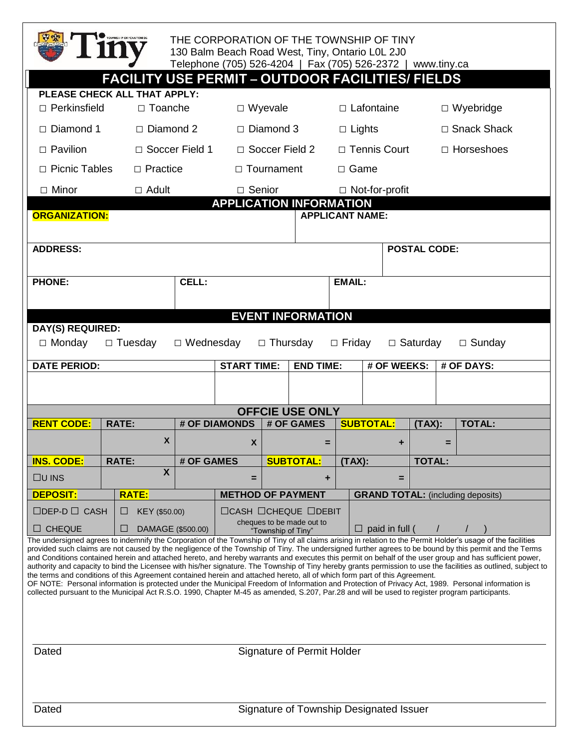

## THE CORPORATION OF THE TOWNSHIP OF TINY 130 Balm Beach Road West, Tiny, Ontario L0L 2J0 Telephone (705) 526-4204 | Fax (705) 526-2372 | www.tiny.ca

| PLEASE CHECK ALL THAT APPLY:<br>$\Box$ Wyevale<br>□ Perkinsfield<br>□ Toanche<br>□ Wyebridge<br>$\Box$ Lafontaine<br>$\Box$ Diamond 3<br>□ Snack Shack<br>$\Box$ Diamond 1<br>$\Box$ Diamond 2<br>$\Box$ Lights<br>□ Soccer Field 1<br>□ Soccer Field 2<br>□ Tennis Court<br>$\Box$ Pavilion<br>$\Box$ Horseshoes<br>$\Box$ Practice<br>□ Picnic Tables<br>$\Box$ Tournament<br>$\Box$ Game<br>$\Box$ Minor<br>$\Box$ Adult<br>□ Senior<br>$\Box$ Not-for-profit<br><b>APPLICATION INFORMATION</b><br><b>ORGANIZATION:</b><br><b>APPLICANT NAME:</b><br><b>ADDRESS:</b><br><b>POSTAL CODE:</b><br>CELL:<br><b>PHONE:</b><br><b>EMAIL:</b><br><b>EVENT INFORMATION</b><br><b>DAY(S) REQUIRED:</b> |
|--------------------------------------------------------------------------------------------------------------------------------------------------------------------------------------------------------------------------------------------------------------------------------------------------------------------------------------------------------------------------------------------------------------------------------------------------------------------------------------------------------------------------------------------------------------------------------------------------------------------------------------------------------------------------------------------------|
|                                                                                                                                                                                                                                                                                                                                                                                                                                                                                                                                                                                                                                                                                                  |
|                                                                                                                                                                                                                                                                                                                                                                                                                                                                                                                                                                                                                                                                                                  |
|                                                                                                                                                                                                                                                                                                                                                                                                                                                                                                                                                                                                                                                                                                  |
|                                                                                                                                                                                                                                                                                                                                                                                                                                                                                                                                                                                                                                                                                                  |
|                                                                                                                                                                                                                                                                                                                                                                                                                                                                                                                                                                                                                                                                                                  |
|                                                                                                                                                                                                                                                                                                                                                                                                                                                                                                                                                                                                                                                                                                  |
|                                                                                                                                                                                                                                                                                                                                                                                                                                                                                                                                                                                                                                                                                                  |
|                                                                                                                                                                                                                                                                                                                                                                                                                                                                                                                                                                                                                                                                                                  |
|                                                                                                                                                                                                                                                                                                                                                                                                                                                                                                                                                                                                                                                                                                  |
|                                                                                                                                                                                                                                                                                                                                                                                                                                                                                                                                                                                                                                                                                                  |
|                                                                                                                                                                                                                                                                                                                                                                                                                                                                                                                                                                                                                                                                                                  |
|                                                                                                                                                                                                                                                                                                                                                                                                                                                                                                                                                                                                                                                                                                  |
|                                                                                                                                                                                                                                                                                                                                                                                                                                                                                                                                                                                                                                                                                                  |
|                                                                                                                                                                                                                                                                                                                                                                                                                                                                                                                                                                                                                                                                                                  |
| $\Box$ Monday<br>$\Box$ Tuesday<br>$\Box$ Sunday<br>$\Box$ Wednesday<br>$\Box$ Thursday<br>$\Box$ Friday<br>$\Box$ Saturday                                                                                                                                                                                                                                                                                                                                                                                                                                                                                                                                                                      |
| <b>DATE PERIOD:</b><br><b>START TIME:</b><br><b>END TIME:</b><br># OF WEEKS:<br># OF DAYS:                                                                                                                                                                                                                                                                                                                                                                                                                                                                                                                                                                                                       |
|                                                                                                                                                                                                                                                                                                                                                                                                                                                                                                                                                                                                                                                                                                  |
|                                                                                                                                                                                                                                                                                                                                                                                                                                                                                                                                                                                                                                                                                                  |
| <b>OFFCIE USE ONLY</b>                                                                                                                                                                                                                                                                                                                                                                                                                                                                                                                                                                                                                                                                           |
| # OF DIAMONDS<br># OF GAMES<br><b>RENT CODE:</b><br><b>RATE:</b><br><b>SUBTOTAL:</b><br><b>TOTAL:</b><br>(TAX):                                                                                                                                                                                                                                                                                                                                                                                                                                                                                                                                                                                  |
| X<br>X<br>$=$<br>٠<br>Ξ                                                                                                                                                                                                                                                                                                                                                                                                                                                                                                                                                                                                                                                                          |
| <b>INS. CODE:</b><br><b>RATE:</b><br># OF GAMES<br><b>SUBTOTAL:</b><br><b>TOTAL:</b><br>(TAX):                                                                                                                                                                                                                                                                                                                                                                                                                                                                                                                                                                                                   |
| $\overline{\mathbf{X}}$<br>$\Box$ U INS<br>÷<br>$=$<br>$=$                                                                                                                                                                                                                                                                                                                                                                                                                                                                                                                                                                                                                                       |
| <b>RATE:</b><br><b>METHOD OF PAYMENT</b><br><b>GRAND TOTAL:</b> (including deposits)<br><b>DEPOSIT:</b>                                                                                                                                                                                                                                                                                                                                                                                                                                                                                                                                                                                          |
| □DEP-D□ CASH<br>KEY (\$50.00)<br>$\Box$ CASH $\Box$ CHEQUE $\Box$ DEBIT<br>ப                                                                                                                                                                                                                                                                                                                                                                                                                                                                                                                                                                                                                     |
| cheques to be made out to<br>$\Box$ CHEQUE<br>DAMAGE (\$500.00)<br>$\Box$ paid in full (<br>ш<br>$\sqrt{2}$<br>"Township of Tiny"                                                                                                                                                                                                                                                                                                                                                                                                                                                                                                                                                                |
| The undersigned agrees to indemnify the Corporation of the Township of Tiny of all claims arising in relation to the Permit Holder's usage of the facilities                                                                                                                                                                                                                                                                                                                                                                                                                                                                                                                                     |

authority and capacity to bind the Licensee with his/her signature. The Township of Tiny hereby grants permission to use the facilities as outlined, subject to the terms and conditions of this Agreement contained herein and attached hereto, all of which form part of this Agreement. OF NOTE: Personal information is protected under the Municipal Freedom of Information and Protection of Privacy Act, 1989. Personal information is

collected pursuant to the Municipal Act R.S.O. 1990, Chapter M-45 as amended, S.207, Par.28 and will be used to register program participants.

Dated **Signature of Permit Holder**